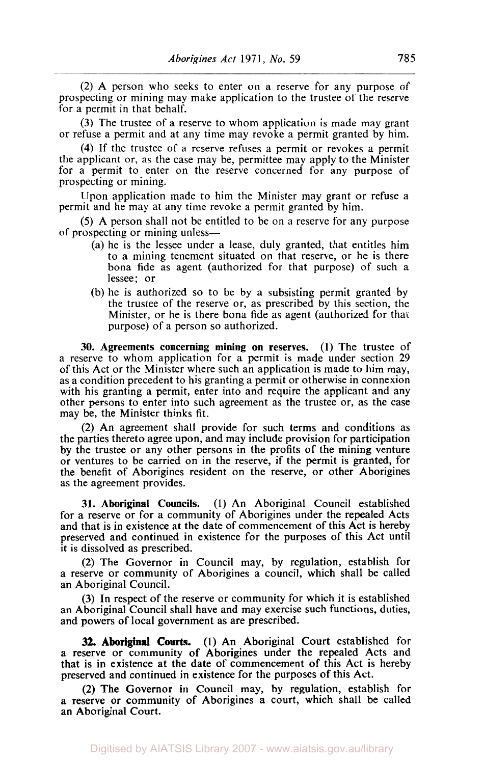(2) A person who seeks to enter on a reserve for any purpose of prospecting or mining may make application to the trustee of the reserve for a permit in that behalf.

**(3)** The trustee of a reserve to whom application is made may grant or refuse a permit and at any time may revoke a permit granted by him.

**(4)** If the trustee of a reserve refuses a permit or revokes a permit the applicant or, as the case may be, permittee may apply to the Minister for a permit to enter on the reserve concerned for any purpose of prospecting or mining.

Upon application made to him the Minister may grant or refuse a permit and he may at any time revoke a permit granted by him.

(5) A person shall not be entitled to be on a reserve for any purpose of prospecting or mining unless-

- (a) he is the lessee under a lease, duly granted, that entitles him to a mining tenement situated on that reserve, or he is there bona fide as agent (authorized for that purpose) of such a lessee; or
- (b) he is authorized so to be by a subsisting permit granted by the trustee of the reserve or, as prescribed by this section, the Minister, or he is there bona fide as agent (authorized for that purpose) of a person so authorized.

**30. Agreements concerning mining on reserves.** (1) The trustee of a reserve to whom application for a permit is made under section 29 of this Act or the Minister where such an application is made to him may, as a condition precedent to his granting a permit or otherwise in connexion with his granting a permit, enter into and require the applicant and any other persons to enter into such agreement as the trustee or, as the case may be, the Minister thinks fit.

(2) An agreement shall provide for such terms and conditions as the parties thereto agree upon, and may include provision for participation by the trustee or any other persons in the profits of the mining venture or ventures to be carried on in the reserve, if the permit is granted, for the benefit of Aborigines resident on the reserve, or other Aborigines as the agreement provides.

**31. Aboriginal Councils. (1)** An Aboriginal Council established for a reserve or for a community of Aborigines under the repealed Acts and that is in existence at the date of commencement of this Act is hereby preserved and continued in existence for the purposes of this Act until it is dissolved as prescribed.

(2) The Governor in Council may, by regulation, establish for a reserve or community of Aborigines a council, which shall be called an Aboriginal Council.

**(3)** In respect of the reserve or community for which it is established an Aboriginal Council shall have and may exercise such functions, duties, and powers of local government as are prescribed.

(1) An Aboriginal Court established for a reserve or community of Aborigines under the repealed Acts and that is in existence at the date of commencement of this Act is hereby preserved and continued in existence for the purposes of this Act. **32. Aboriginal Courts.** 

**(2)** The Governor in Council may, by regulation, establish for a reserve or community of Aborigines a court, which shall be called an Aboriginal Court.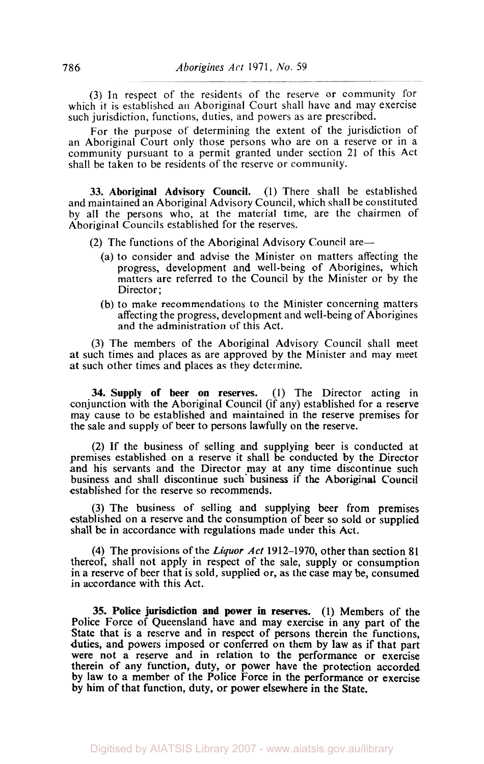**(3)** In respect of the residents of the reserve or community for which it is established an Aboriginal Court shall have and may exercise such jurisdiction, functions, duties, and powers as are prescribed.

For the purpose of determining the extent of the jurisdiction of an Aboriginal Court only those persons who are on a reserve or in a community pursuant to a permit granted under section 21 of this Act shall be taken to be residents of the reserve or community.

**33. Aboriginal Advisory Council.** (I) There shall be established and maintained an Aboriginal Advisory Council, which shall be constituted by all the persons who, at the material time, are the chairmen of Aboriginal Councils established for the reserves.

(2) The functions of the Aboriginal Advisory Council are—

- (a) to consider and advise the Minister on matters affecting the progress, development and well-being of Aborigines, which matters are referred to the Council by the Minister or by the Director:
- (b) to make recommendations to the Minister concerning matters affecting the progress, development and well-being of Aborigines and the administration of this Act.

**(3)** The members of the Aboriginal Advisory Council shall meet at such times and places as are approved by the Minister and may meet at such other times and places as they determine.

**34. Supply of beer on reserves.** (I) The Director acting in conjunction with the Aboriginal Council (if any) established for a reserve may cause to be established and maintained in the reserve premises for the sale and supply of beer to persons lawfully on the reserve.

**(2)** If the business of selling and supplying beer is conducted at premises established on a reserve it shall be conducted by the Director and his servants and the Director may at any time discontinue such business and shall discontinue such business if the Aboriginal Council established for the reserve so recommends.

**(3)** The business of selling and supplying beer from premises established on a reserve and the consumption of beer so sold or supplied shall be in accordance with regulations made under this Act.

**(4)** The provisions of the *Liquor Act* 1912-1970, other than section **81**  thereof, shall not apply in respect of the sale, supply or consumption in a reserve of beer that is sold, supplied or, as the case may be, consumed in accordance with this Act.

**35. Police jurisdiction and power in reserves.** (1) Members **of** the Police Force of Queensland have and may exercise in any part of the State that is a reserve and in respect of persons therein the functions, duties, and powers imposed or conferred on them by law as if that part were not a reserve and in relation to the performance **or** exercise therein of any function, duty, **or** power have the protection accorded by law to a member of the Police Force **in** the performance **or** exercise by him of that function, duty, or power elsewhere in the State.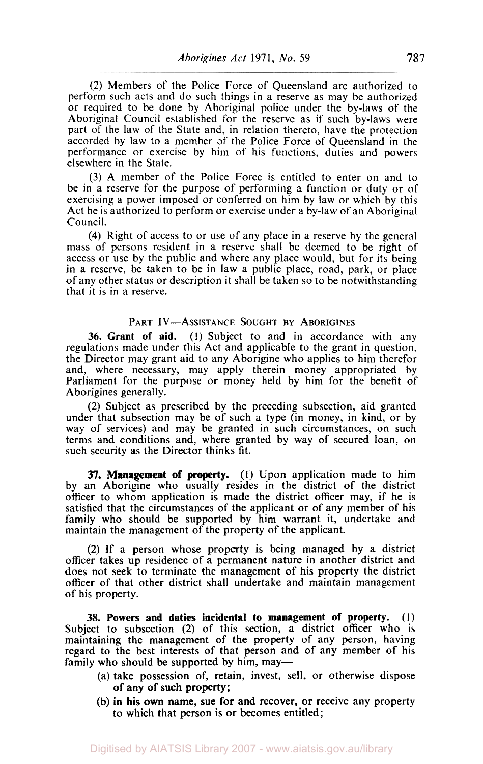**(2)** Members of the Police Force of Queensland are authorized to perform such acts and do such things in a reserve as may be authorized or required to be done by Aboriginal police under the by-laws of the Aboriginal Council established for the reserve as if such by-laws were part of the law of the State and, in relation thereto, have the protection accorded by law to a member of the Police Force of Queensland in the performance or exercise by him of his functions, duties and powers elsewhere in the State.

(3) A member of the Police Force is entitled to enter on and to be in a reserve for the purpose of performing a function or duty or of exercising a power imposed or conferred on him by law or which by this Act he is authorized to perform or exercise under a by-law of an Aboriginal Council.

**(4)** Right of access to or use of any place in a reserve by the general mass of persons resident in a reserve shall be deemed to be right of access or use by the public and where any place would, but for its being in a reserve, be taken to be in law a public place, road, park, or place of any other status or description it shall be taken so to be notwithstanding that it is in a reserve.

## PART IV-ASSISTANCE **SOUGHT BY** ABORIGINES

**36.** Grant **of** aid. (1) Subject to and in accordance with any regulations made under this Act and applicable to the grant in question, the Director may grant aid to any Aborigine who applies to him therefor and, where necessary, may apply therein money appropriated by Parliament for the purpose or money held by him for the benefit of Aborigines generally.

**(2)** Subject as prescribed by the preceding subsection, aid granted under that subsection may be of such a type (in money, in kind, or by way of services) and may be granted in such circumstances, on such terms and conditions and, where granted by way of secured loan, on such security as the Director thinks fit.

**37.** Management **of** property. **(1)** Upon application made to him by an Aborigine who usually resides in the district of the district officer to whom application is made the district officer may, if he is satisfied that the circumstances of the applicant or of any member **of** his family who should be supported by him warrant it, undertake and maintain the management of the property of the applicant.

**(2)** If a person whose property is being managed by a district officer takes up residence **of** a permanent nature in another district and does not seek to terminate the management **of** his property the district officer of that other district shall undertake and maintain management of his property.

**38.** Powers and duties incidental to management **of** property. **(I)**  Subject to subsection **(2) of** this section, a district officer who is maintaining the management of the property of any person, having regard to the best interests of that person and of any member of his family who should be supported by him, may—

- (a) take possession of, retain, invest, sell, or otherwise dispose of any of such property;
- (b) in his own name, sue **for** and recover, or receive any property to which that person is or becomes entitled;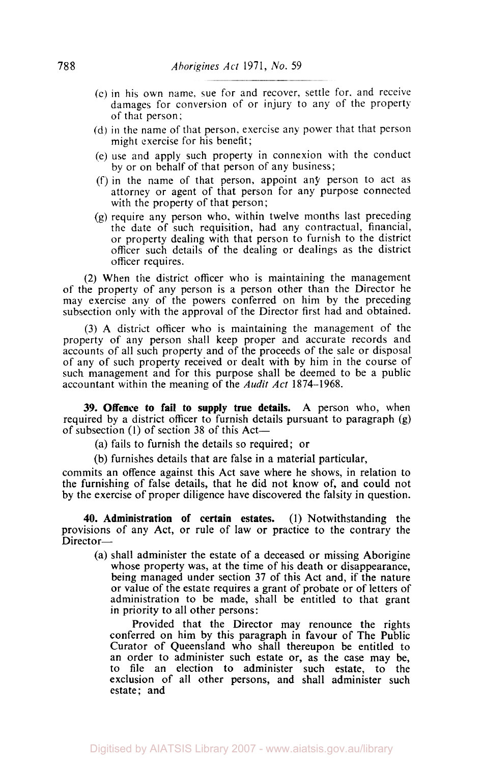- (c) in his own name. sue for and recover, settle for. and receive damages for conversion of or injury to any of the property of that person;
- (d) in the name of that person, exercise any power that that person might exercise for his benefit;
- (e) use and apply such property in connexion with the conduct by or on behalf of that person of any business;
- (f) in the name of that person, appoint any person to act as attorney or agent of that person for any purpose connected with the property of that person;
- (g) require any person who, within twelve months last preceding the date of such requisition, had any contractual, financial, or property dealing with that person to furnish to the district officer such details of the dealing or dealings as the district officer requires.

(2) When the district officer who is maintaining the management of the property of any person is a person other than the Director he may exercise any of the powers conferred on him by the preceding subsection only with the approval of the Director first had and obtained.

(3) A district officer who is maintaining the management of the property of any person shall keep proper and accurate records and accounts of all such property and of the proceeds of the sale or disposal of any of such property received or dealt with by him in the course of such management and for this purpose shall be deemed to be a public accountant within the meaning of the *Audit Act* 1874-1968.

**39. Offence to fail to supply true details.** A person who, when required by a district officer to furnish details pursuant to paragraph (g) of subsection (1) of section 38 of this Act—

(a) fails to furnish the details so required; or

(b) furnishes details that are false in a material particular,

commits an offence against this Act save where he shows, in relation to the furnishing of false details, that he did not know of, and could not by the exercise of proper diligence have discovered the falsity in question.

**40. Administration of certain estates.** (1) Notwithstanding the provisions of any Act, or rule of law **or** practice to the contrary the Director-

(a) shall administer the estate **of** a deceased **or** missing Aborigine whose property was, at the time of his death or disappearance, being managed under section **37** of this Act and, if the nature or value of the estate requires a grant of probate or of letters of administration to be made, shall be entitled to that grant **in** priority to all other persons:

Provided that the Director may renounce the rights conferred on him by this paragraph in favour of The Public Curator of Queensland who shall thereupon be entitled to an order to administer such estate or, **as** the case may be, to file an election to administer such estate, to the exclusion of all other persons, and shall administer such estate; and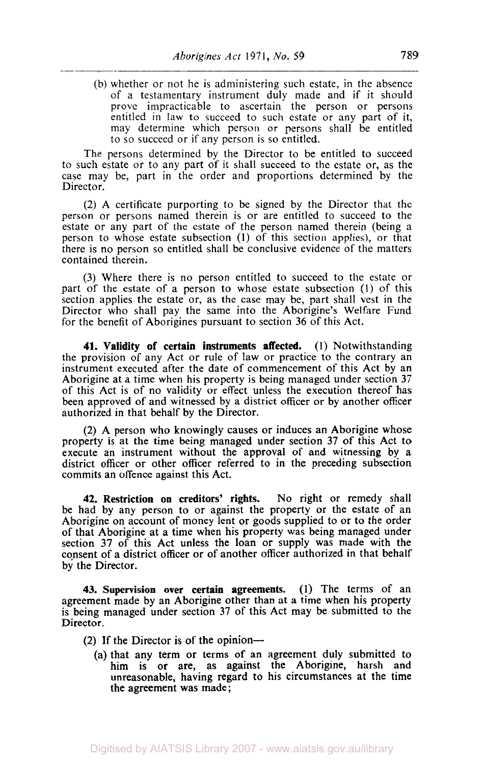(b) whether or not he is administering such estate, in the absence of a testamentary instrument duly made and if it should prove impracticable to ascertain the person or persons entitled in law to succeed to such estate or any part of it, may determine which person or persons shall be entitled to so succeed or if any person is so entitled.

The persons determined by the Director to be entitled to succeed to such estate or to any part of it shall succeed to the estate or, as the case may be, part in the order and proportions determined by the Director.

(2) A certificate purporting to be signed by the Director that the person or persons named therein is or are entitled to succeed to the estate or any part of the estate of the person named therein (being a person to whose estate subsection (1) of this section applies), or that there is no person so entitled shall be conclusive evidence of the matters contained therein.

**(3)** Where there is no person entitled to succeed to the estate or part of the estate of a person to whose estate subsection **(1)** of this section applies the estate or, as the case may be, part shall vest in the Director who shall pay the same into the Aborigine's Welfare Fund for the benefit of Aborigines pursuant to section 36 of this Act.

**41.** Validity **of** certain instruments affected. (I) Notwithstanding the provision of any Act or rule of law or practice to the contrary an instrument executed after the date of commencement of this Act by an Aborigine at a time when his property is being managed under section **37**  of this Act is of no validity or effect unless the execution thereof has been approved of and witnessed by a district officer or by another officer authorized in that behalf by the Director.

(2) A person who knowingly causes or induces an Aborigine whose property is at the time being managed under section **37** of this Act to execute an instrument without the approval of and witnessing by a district officer or other officer referred to in the preceding subsection commits an offence against this Act.

**42.** Restriction **on** creditors' rights. No right or remedy shall be had by any person to or against the property or the estate of an Aborigine on account of money lent or goods supplied to **or** to the order of that Aborigine at a time when his property was being managed under section **37** of this Act unless the loan or supply was made with the consent of a district officer or of another officer authorized in that behalf by the Director.

**43.** Supervision over certain agreements. (1) The terms of an agreement made by an Aborigine other than at a time when his property is being managed under section **37** of this Act may be submitted to the Director.

- (2) If the Director is of the opinion--
	- (a) that any term or terms of an agreement duly submitted to him **is or** are, as against the Aborigine, harsh and unreasonable, having regard to his circumstances at the time the agreement was made;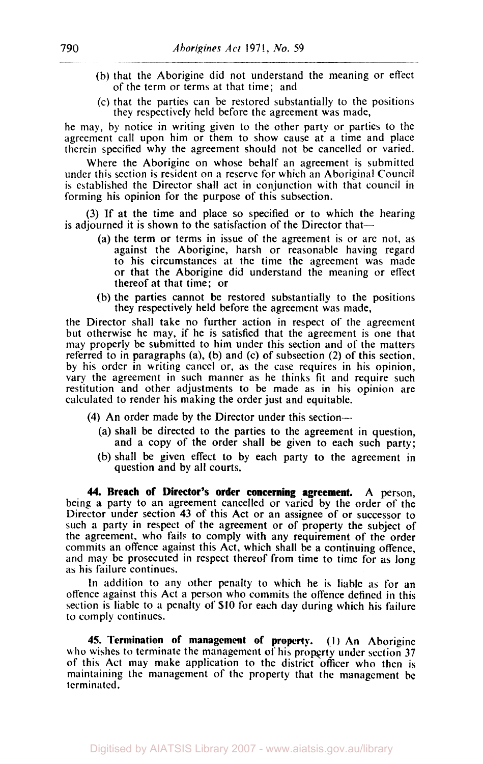- (b) that the Aborigine did not understand the meaning or effect of the term or terms at that time; and
- (c) that the parties can be restored substantially to the positions they respectively held before the agreement was made,

he may, by notice in writing given to the other party or parties to the agreement call upon him or them to show cause at a time and place therein specified why the agreement should not be cancelled or varied.

Where the Aborigine on whose behalf an agreement is submitted under this section is resident on a reserve for which an Aboriginal Council is established the Director shall act in conjunction with that council in forming his opinion for the purpose of this subsection.

(3) If at the time and place so specified or to which the hearing is adjourned it is shown to the satisfaction of the Director that—

- (a) the term or terms in issue of the agreement is or arc not, as against the Aborigine, harsh or reasonable having regard to his circumstances at the time the agreement was made or that the Aborigine did understand the meaning or effect thereof at that time; or
- (b) the parties cannot be restored substantially to the positions they respectively held before the agreement was made,

the Director shall take no further action in respect of the agreement but otherwise he may, if he is satisfied that the agreement is one that may properly be submitted to him under this section and of the matters referred to in paragraphs (a), (b) and (c) of subsection (2) of this section, by his order in writing cancel or, as the case requires **in** his opinion, vary the agreement in such manner as he thinks fit and require such restitution and other adjustments to be made as in his opinion are calculated to render his making the order just and equitable.

- **(4)** An order made by the Director under this section--
	- (a) shall be directed to the parties to the agreement in question, and a copy of the order shall be given to each such party;
	- (b) shall be given effect to by each party **to** the agreement in question and by all courts.

**44. Breach of Director's order concerning agreement.** A person, being a party to an agreement cancelled or varied by the order of the Director under section **43** of this Act or an assignee of or successor to such a party in respect of the agreement or of property the subject of the agreement. who fails to comply with any requirement of the order commits an offence against this Act, which shall be a continuing offence, and may be prosecuted in respect thereof from time to time for as long as his failure continues.

In addition to any other penalty to which he is liable as for an offence against this Act a person who commits the offence defined in this section is liable to a penalty of **\$10** for each day during which his failure to comply continues.

**45. Termination of management of property.** (I) An Aborigine who wishes to terminate the management of his property under section 37 of this Act may make application to the district officer who then is maintaining the management of the property that the management be terminated.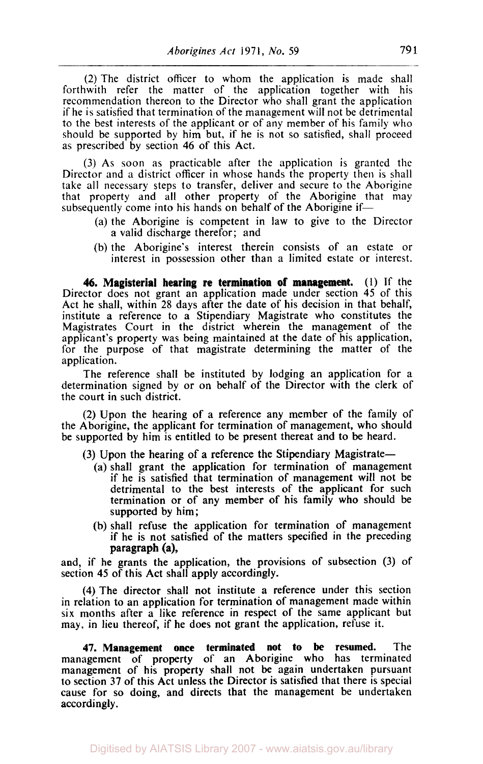(2) The district officer to whom the application is made shall forthwith refer the matter of the application together with his recommendation thereon to the Director who shall grant the application if he is satisfied that termination of the management will not be detrimental to the best interests of the applicant or of any member of his family who should be supported by him but, if he is not so satisfied, shall proceed as prescribed by section **46** of this Act.

(3) As soon as practicable after the application is granted the Director and a district officer in whose hands the property then is shall take all necessary steps to transfer, deliver and secure to the Aborigine that property and all other property of the Aborigine that may subsequently come into his hands on behalf of the Aborigine if-

- (a) the Aborigine is competent in law to give to the Director a valid discharge therefor; and
- (b) the Aborigine's interest therein consists of an estate or interest in possession other than a limited estate or interest.

**46. Magisterial hearing re termination of management.** (I) If the Director does not grant an application made under section **45** of this Act he shall, within 28 days after the date of his decision in that behalf, institute a reference to a Stipendiary Magistrate who constitutes the Magistrates Court in the district wherein the management of the applicant's property was being maintained at the date of his application, for the purpose of that magistrate determining the matter of the application.

The reference shall be instituted by lodging an application for a determination signed by or on behalf of the Director with the clerk of the court in such district.

(2) Upon the hearing of a reference any member of the family of the Aborigine, the applicant for termination of management, who should be supported by him is entitled to be present thereat and to be heard.

- $(3)$  Upon the hearing of a reference the Stipendiary Magistrate-
	- (a) shall grant the application for termination of management if he is satisfied that termination of management will not be detrimental to the best interests of the applicant for such termination or of any member of his family who should be supported by him;
	- (b) shall refuse the application for termination of management if he is not satisfied of the matters specified in the preceding paragraph (a),

and, if he grants the application, the provisions of subsection (3) of section **45** of this Act shall apply accordingly.

**(4)** The director shall not institute a reference under this section in relation to an application for termination of management made within six months after a like reference in respect of the same applicant but may, in lieu thereof, if he does not grant the application, refuse it.

**47. Management once terminated not to be resumed.** The management of property of an Aborigine who has terminated management of his property shall not be again undertaken pursuant to section 37 of this Act unless the Director is satisfied that there is special cause for so doing, and directs that the management be undertaken accordingly.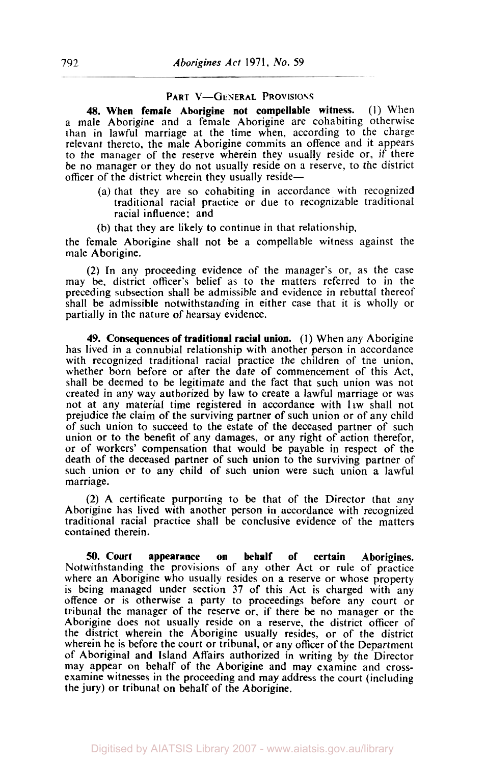## **PART V-GENERAL PROVISIONS**

**48. When female Aborigine not compellable witness. (1)** When a male Aborigine and **a** female Aborigine are cohabiting otherwise than in lawful marriage at the time when, according to the charge relevant thereto, the male Aborigine commits an offence and it appears to the manager of the reserve wherein they usually reside or, if there be no manager or they do not usually reside on a reserve, to the district officer of the district wherein they usually reside-

- (a) that they are so cohabiting in accordance with recognized traditional racial practice or due to recognizable traditional racial influence: and
- (b) that they are likely to continue in that relationship,

the female Aborigine shall not be **a** compellable witness against the male Aborigine.

**(2) In** any proceeding evidence of the manager's or, as the case may be, district officer's belief as to the matters referred to in the preceding subsection shall be admissible and evidence in rebuttal thereof shall be admissible notwithstanding in either case that it is wholly or partially in the nature of hearsay evidence.

**49. Consequences of traditional racial union.** (I) When any Aborigine has lived in a connubial relationship with another person in accordance with recognized traditional racial practice the children of the union, whether born before or after the date of commencement of this Act, shall be deemed to be legitimate and the fact that such union was not created in any way authorized by law to create a lawful marriage or was not at any material time registered in accordance with law shall not prejudice the claim of the surviving partner of such union or of any child of such union to succeed to the estate of the deceased partner of such union or to the benefit of any damages, or any right of action therefor, or of workers' compensation that would be payable in respect of the death of the deceased partner of such union to the surviving partner of such union or to any child of such union were such union a lawful marriage.

**(2)** A certificate purporting to be that of the Director that any Aborigine has lived with another person in accordance with recognized traditional racial practice shall be conclusive evidence of the matters contained therein.

*50.* **Court appearance on behalf of certain Aborigines.**  Notwithstanding the provisions of any other Act or rule of practice where an Aborigine who usually resides on a reserve or whose property is being managed under section **37** of this Act is charged with any offence or is otherwise **a** party to proceedings before any court or tribunal the manager of the reserve or, if there be no manager or the Aborigine does not usually reside **on** a reserve, the district officer of the district wherein the Aborigine usually resides, or of the district wherein he is before the court or tribunal, or any officer of the Department of Aboriginal and Island Affairs authorized in writing by the Director may appear on behalf **of** the Aborigine and may examine and crossexamine witnesses in the proceeding and may address the court (including the jury) or tribunal on behalf of the Aborigine.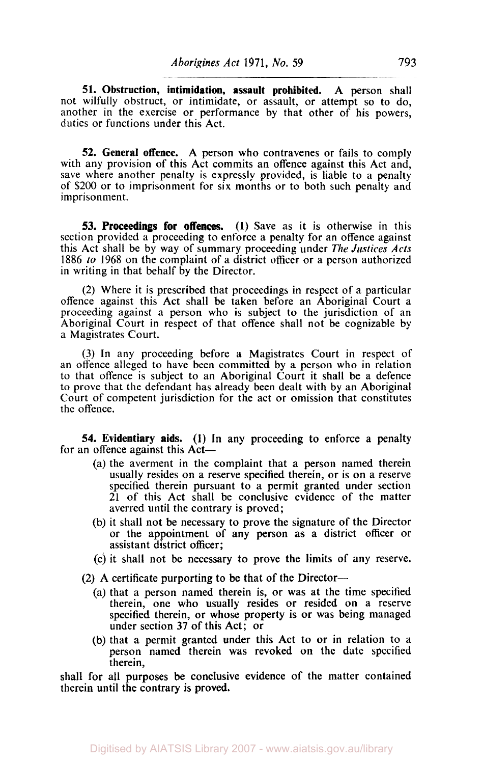**51. Obstruction, intimidation, assault prohibited.** A person shall not wilfully obstruct, or intimidate, or assault, or attempt so to do, another in the exercise or performance by that other of his powers, duties or functions under this Act.

**52. General offence.** A person who contravenes or fails to comply with any provision of this Act commits an offence against this Act and, save where another penalty is expressly provided, is liable to a penalty of \$200 or to imprisonment for six months or to both such penalty and imprisonment.

**53. Proceedings for offences.** (1) Save as it is otherwise in this section provided a proceeding to enforce a penalty for an offence against this Act shall be by way of summary proceeding under *The Justices Acts*  1886 to 1968 **on** the complaint of a district officer or a person authorized in writing in that behalf by the Director.

(2) Where it is prescribed that proceedings in respect of a particular offence against this Act shall be taken before an Aboriginal Court a proceeding against a person who is subject to the jurisdiction of an Aboriginal Court in respect of that offence shall not be cognizable by a Magistrates Court.

(3) In any proceeding before a Magistrates Court in respect of an offence alleged to have been committed by a person who in relation to that offence is subject to an Aboriginal Court it shall be a defence to prove that the defendant has already been dealt with by an Aboriginal Court of competent jurisdiction for the act or omission that constitutes the offence.

**54. Evidentiary aids. (1)** In any proceeding **to** enforce a penalty for an offence against this Act—

- (a) the averment in the complaint that a person named therein usually resides on a reserve specified therein, or is on a reserve specified therein pursuant to a permit granted under section 21 of this Act shall be conclusive evidence of the matter averred until the contrary is proved;
- (b) it shall not be necessary to prove the signature of the Director or the appointment of any person as **a** district officer or assistant district officer;
- (c) it shall not be necessary to prove the limits of any reserve.

(2) A certificate purporting to be that of the Director-

- (a) that a person named therein is, or was at the time specified therein, one who usually resides or resided on a reserve specified therein, or whose property is or was being managed under section **37** of this Act; or
- (b) that a permit granted under this Act to or in relation to a person named therein was revoked on the date specified therein,

shall for all purposes be conclusive evidence of the matter contained therein until the contrary is **proved.**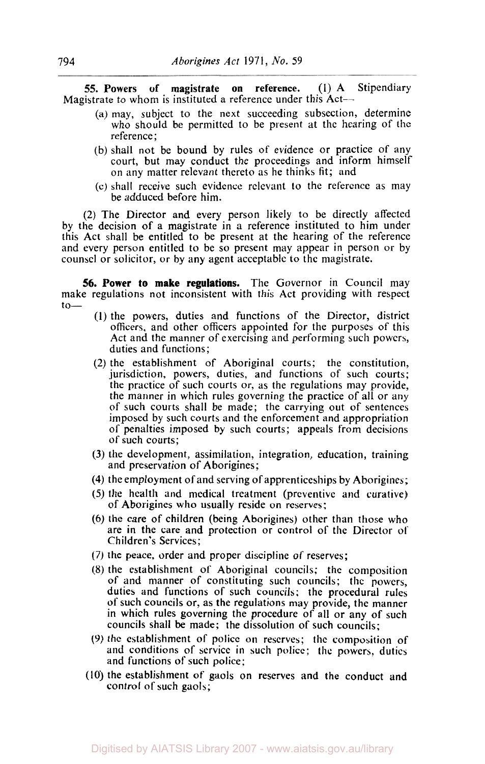**55. Powers of magistrate on reference. (1)** A Stipendiary Magistrate to whom is instituted a reference under this Act-

- (a) may, subject to the next succeeding subsection, determine who should be permitted to be present at the hearing of the reference ;
- (b) shall not be bound by rules of evidence or practice **of** any court, but may conduct the proceedings and inform himself on any matter relevant thereto as he thinks fit; and
- (c) shall receive such evidence relevant to the reference as may be adduced before him.

**(2)** The Director and every person likely to be directly affected by the decision of a magistrate in a reference instituted to him under this Act shall be entitled to be present at the hearing of the reference and every person entitled to be so present may appear in person or by counsel or solicitor, or by any agent acceptable to the magistrate.

**56. Power** *to* **make regulations.** The Governor in Council may make regulations not inconsistent with this Act providing with respect  $to-$ 

- **(1)** the powers, duties and functions of the Director, district officers, and other officers appointed for the purposes of this Act and the manner of exercising and performing such powers, duties and functions;
- **(2)** the establishment of Aboriginal courts; the constitution, jurisdiction, powers, duties, and functions of such courts; the practice of such courts or, as the regulations may provide, the manner in which rules governing the practice of all or any of such courts shall be made; the carrying out of sentences imposed by such courts and the enforcement and appropriation of penalties imposed by such courts; appeals from decisions **of** such courts;
- **(3)** the development, assimilation, integration, education, training and preservation of Aborigines;
- **(4)** the employment of and serving ofapprenticeships by Aborigines;
- *(5)* the health and medical treatment (preventive and curative) of Aborigines who usually reside on reserves;
- *(6)* the care of children (being Aborigines) other than those who are in the care and protection or control of the Director of Children's Services;
- (7) the peace, order and proper discipline of reserves;
- (8) the establishment of Aboriginal councils; the composition of and manner of constituting such councils; the powers, duties and functions of such councils; the procedural rules of such councils or, as the regulations may provide, the manner in which rules governing the procedure of all or any of such councils shall be made; the dissolution of such councils;
- **(9)** the establishment of police on rescrves; the composition **of**  and conditions of service in such police; the powers, duties and functions of such police;
- **(10)** the establishment of gaols on reserves and the conduct and control of such gaols;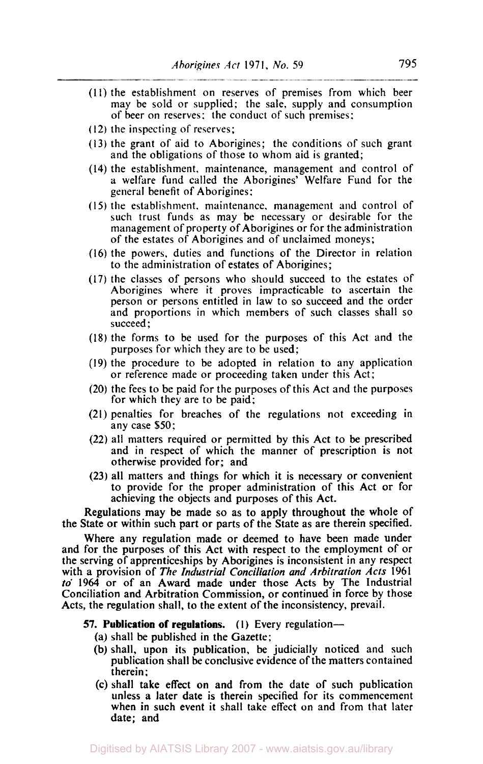- (11) the establishment on reserves of premises from which beer may be sold or supplied: the sale. supply and consumption of beer on reserves: the conduct of such premises:
- **(12)** the inspecting of reserves;
- **(13)** the grant of aid to Aborigines; the conditions of such grant and the obligations of those to whom aid is granted;
- **(14)** the establishment, maintenance, management and control of a welfare fund called the Aborigines' Welfare Fund for the general benefit of Aborigines:
- (I *5)* the establishment. maintenance, management and control of such trust funds as may be necessary or desirable for the management of property of Aborigines or for the administration of the estates of Aborigines and of unclaimed moneys;
- **(16)** the powers. duties and functions of the Director in relation to the administration of estates of Aborigines;
- (17) the classes of persons who should succeed to the estates of Aborigines where it proves impracticable to ascertain the person or persons entitled in law to so succeed and the order and proportions in which members of such classes shall so succeed ;
- **(18)** the forms to be used for the purposes of this Act and the purposes for which they are to be used;
- (19) the procedure to be adopted in relation to any application or reference made or proceeding taken under this Act;
- (20) the fees to be paid for the purposes of this Act and the purposes for which they are to be paid;
- (21) penalties for breaches of the regulations not exceeding in any case \$50:
- (22) all matters required or permitted by this Act to be prescribed and in respect of which the manner of prescription is not otherwise provided for; and
- **(23)** all matters and things for which it is necessary or convenient to provide for the proper administration of this Act or for achieving the objects and purposes of this Act.

Regulations may be made so as to apply throughout the whole of the State or within such part or parts of the State as are therein specified.

Where any regulation made or deemed to have been made under and for the purposes of this Act with respect to the employment of or the serving of apprenticeships by Aborigines is inconsistent in any respect with a provision of The *Industrial Conciliation and Arbitration Acts* **1961**  *to'* **1964** or of an Award made under those Acts by The Industrial Conciliation and Arbitration Commission, or continued in force by those Acts, the regulation shall, to the extent of the inconsistency, prevail.

## **57. Publication of regulations.** (1) Every regulation-

- (a) shall be published in the Gazette;
- (b) shall, upon its publication, be judicially noticed and such publication shall be conclusive evidence of the matters contained therein:
- (c) shall take effect on and from the date of such publication unless a later date is therein specified for its commencement when in such event it shall take effect on and from that later date; and